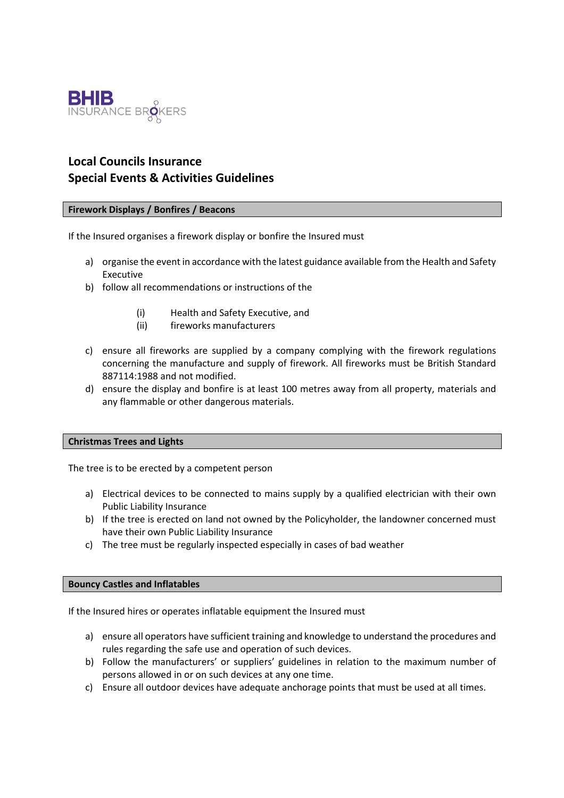

# **Local Councils Insurance Special Events & Activities Guidelines**

## **Firework Displays / Bonfires / Beacons**

If the Insured organises a firework display or bonfire the Insured must

- a) organise the event in accordance with the latest guidance available from the Health and Safety Executive
- b) follow all recommendations or instructions of the
	- (i) Health and Safety Executive, and
	- (ii) fireworks manufacturers
- c) ensure all fireworks are supplied by a company complying with the firework regulations concerning the manufacture and supply of firework. All fireworks must be British Standard 887114:1988 and not modified.
- d) ensure the display and bonfire is at least 100 metres away from all property, materials and any flammable or other dangerous materials.

## **Christmas Trees and Lights**

The tree is to be erected by a competent person

- a) Electrical devices to be connected to mains supply by a qualified electrician with their own Public Liability Insurance
- b) If the tree is erected on land not owned by the Policyholder, the landowner concerned must have their own Public Liability Insurance
- c) The tree must be regularly inspected especially in cases of bad weather

## **Bouncy Castles and Inflatables**

If the Insured hires or operates inflatable equipment the Insured must

- a) ensure all operators have sufficient training and knowledge to understand the procedures and rules regarding the safe use and operation of such devices.
- b) Follow the manufacturers' or suppliers' guidelines in relation to the maximum number of persons allowed in or on such devices at any one time.
- c) Ensure all outdoor devices have adequate anchorage points that must be used at all times.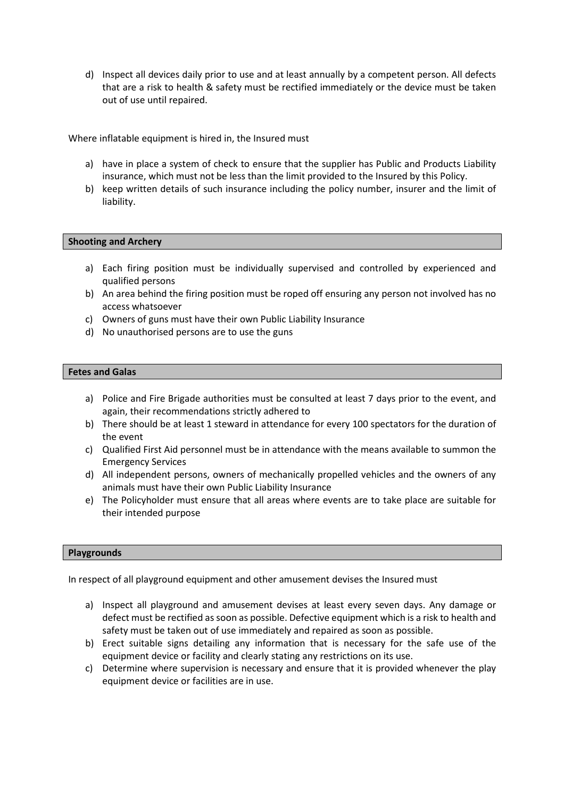d) Inspect all devices daily prior to use and at least annually by a competent person. All defects that are a risk to health & safety must be rectified immediately or the device must be taken out of use until repaired.

Where inflatable equipment is hired in, the Insured must

- a) have in place a system of check to ensure that the supplier has Public and Products Liability insurance, which must not be less than the limit provided to the Insured by this Policy.
- b) keep written details of such insurance including the policy number, insurer and the limit of liability.

## **Shooting and Archery**

- a) Each firing position must be individually supervised and controlled by experienced and qualified persons
- b) An area behind the firing position must be roped off ensuring any person not involved has no access whatsoever
- c) Owners of guns must have their own Public Liability Insurance
- d) No unauthorised persons are to use the guns

#### **Fetes and Galas**

- a) Police and Fire Brigade authorities must be consulted at least 7 days prior to the event, and again, their recommendations strictly adhered to
- b) There should be at least 1 steward in attendance for every 100 spectators for the duration of the event
- c) Qualified First Aid personnel must be in attendance with the means available to summon the Emergency Services
- d) All independent persons, owners of mechanically propelled vehicles and the owners of any animals must have their own Public Liability Insurance
- e) The Policyholder must ensure that all areas where events are to take place are suitable for their intended purpose

#### **Playgrounds**

In respect of all playground equipment and other amusement devises the Insured must

- a) Inspect all playground and amusement devises at least every seven days. Any damage or defect must be rectified as soon as possible. Defective equipment which is a risk to health and safety must be taken out of use immediately and repaired as soon as possible.
- b) Erect suitable signs detailing any information that is necessary for the safe use of the equipment device or facility and clearly stating any restrictions on its use.
- c) Determine where supervision is necessary and ensure that it is provided whenever the play equipment device or facilities are in use.